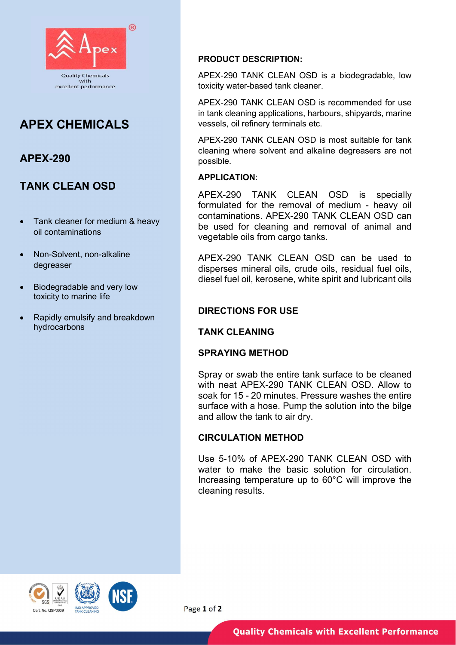

# APEX CHEMICALS

### APEX-290

## TANK CLEAN OSD

- Tank cleaner for medium & heavy oil contaminations
- Non-Solvent, non-alkaline degreaser
- Biodegradable and very low toxicity to marine life
- Rapidly emulsify and breakdown hydrocarbons

#### PRODUCT DESCRIPTION:

APEX-290 TANK CLEAN OSD is a biodegradable, low toxicity water-based tank cleaner.

APEX-290 TANK CLEAN OSD is recommended for use in tank cleaning applications, harbours, shipyards, marine vessels, oil refinery terminals etc.

APEX-290 TANK CLEAN OSD is most suitable for tank cleaning where solvent and alkaline degreasers are not possible.

#### APPLICATION:

APEX-290 TANK CLEAN OSD is specially formulated for the removal of medium - heavy oil contaminations. APEX-290 TANK CLEAN OSD can be used for cleaning and removal of animal and vegetable oils from cargo tanks.

APEX-290 TANK CLEAN OSD can be used to disperses mineral oils, crude oils, residual fuel oils, diesel fuel oil, kerosene, white spirit and lubricant oils

### DIRECTIONS FOR USE

#### TANK CLEANING

#### SPRAYING METHOD

Spray or swab the entire tank surface to be cleaned with neat APEX-290 TANK CLEAN OSD. Allow to soak for 15 - 20 minutes. Pressure washes the entire surface with a hose. Pump the solution into the bilge and allow the tank to air dry.

#### CIRCULATION METHOD

Use 5-10% of APEX-290 TANK CLEAN OSD with water to make the basic solution for circulation. Increasing temperature up to 60°C will improve the cleaning results.